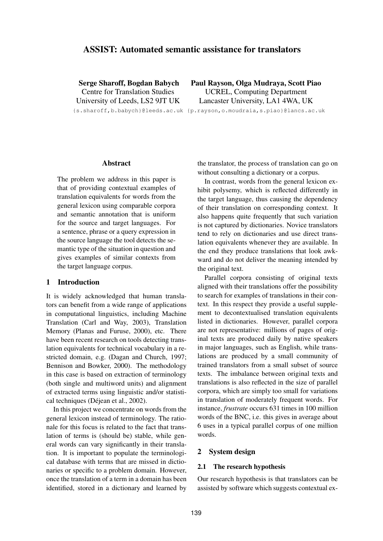# **ASSIST: Automated semantic assistance for translators**

**Serge Sharoff, Bogdan Babych** Centre for Translation Studies University of Leeds, LS2 9JT UK **Paul Rayson, Olga Mudraya, Scott Piao** UCREL, Computing Department Lancaster University, LA1 4WA, UK

{s.sharoff,b.babych}@leeds.ac.uk {p.rayson,o.moudraia,s.piao}@lancs.ac.uk

# **Abstract**

The problem we address in this paper is that of providing contextual examples of translation equivalents for words from the general lexicon using comparable corpora and semantic annotation that is uniform for the source and target languages. For a sentence, phrase or a query expression in the source language the tool detects the semantic type of the situation in question and gives examples of similar contexts from the target language corpus.

# **1 Introduction**

It is widely acknowledged that human translators can benefit from a wide range of applications in computational linguistics, including Machine Translation (Carl and Way, 2003), Translation Memory (Planas and Furuse, 2000), etc. There have been recent research on tools detecting translation equivalents for technical vocabulary in a restricted domain, e.g. (Dagan and Church, 1997; Bennison and Bowker, 2000). The methodology in this case is based on extraction of terminology (both single and multiword units) and alignment of extracted terms using linguistic and/or statistical techniques (Déjean et al., 2002).

In this project we concentrate on words from the general lexicon instead of terminology. The rationale for this focus is related to the fact that translation of terms is (should be) stable, while general words can vary significantly in their translation. It is important to populate the terminological database with terms that are missed in dictionaries or specific to a problem domain. However, once the translation of a term in a domain has been identified, stored in a dictionary and learned by the translator, the process of translation can go on without consulting a dictionary or a corpus.

In contrast, words from the general lexicon exhibit polysemy, which is reflected differently in the target language, thus causing the dependency of their translation on corresponding context. It also happens quite frequently that such variation is not captured by dictionaries. Novice translators tend to rely on dictionaries and use direct translation equivalents whenever they are available. In the end they produce translations that look awkward and do not deliver the meaning intended by the original text.

Parallel corpora consisting of original texts aligned with their translations offer the possibility to search for examples of translations in their context. In this respect they provide a useful supplement to decontextualised translation equivalents listed in dictionaries. However, parallel corpora are not representative: millions of pages of original texts are produced daily by native speakers in major languages, such as English, while translations are produced by a small community of trained translators from a small subset of source texts. The imbalance between original texts and translations is also reflected in the size of parallel corpora, which are simply too small for variations in translation of moderately frequent words. For instance, *frustrate* occurs 631 times in 100 million words of the BNC, i.e. this gives in average about 6 uses in a typical parallel corpus of one million words.

#### **2 System design**

#### **2.1 The research hypothesis**

Our research hypothesis is that translators can be assisted by software which suggests contextual ex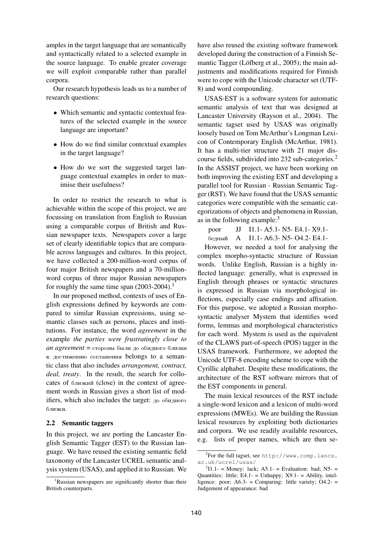amples in the target language that are semantically and syntactically related to a selected example in the source language. To enable greater coverage we will exploit comparable rather than parallel corpora.

Our research hypothesis leads us to a number of research questions:

- Which semantic and syntactic contextual features of the selected example in the source language are important?
- How do we find similar contextual examples in the target language?
- How do we sort the suggested target language contextual examples in order to maximise their usefulness?

In order to restrict the research to what is achievable within the scope of this project, we are focussing on translation from English to Russian using a comparable corpus of British and Russian newspaper texts. Newspapers cover a large set of clearly identifiable topics that are comparable across languages and cultures. In this project, we have collected a 200-million-word corpus of four major British newspapers and a 70-millionword corpus of three major Russian newspapers for roughly the same time span  $(2003-2004).$ <sup>1</sup>

In our proposed method, contexts of uses of English expressions defined by keywords are compared to similar Russian expressions, using semantic classes such as persons, places and institutions. For instance, the word *agreement* in the example *the parties were frustratingly close to an agreement* = стороны были до обидного близки  $\kappa$  достижению соглашения belongs to a semantic class that also includes *arrangement, contract, deal, treaty*. In the result, the search for collocates of близкий (close) in the context of agreement words in Russian gives a short list of modifiers, which also includes the target:  $\mu$ <sup>0</sup>  $\sigma$ <sup>6</sup> $\mu$ <sub>H<sup>oro</sub></sup></sub> близки.

### **2.2 Semantic taggers**

In this project, we are porting the Lancaster English Semantic Tagger (EST) to the Russian language. We have reused the existing semantic field taxonomy of the Lancaster UCREL semantic analysis system (USAS), and applied it to Russian. We have also reused the existing software framework developed during the construction of a Finnish Semantic Tagger (Löfberg et al., 2005); the main adjustments and modifications required for Finnish were to cope with the Unicode character set (UTF-8) and word compounding.

USAS-EST is a software system for automatic semantic analysis of text that was designed at Lancaster University (Rayson et al., 2004). The semantic tagset used by USAS was originally loosely based on Tom McArthur's Longman Lexicon of Contemporary English (McArthur, 1981). It has a multi-tier structure with 21 major discourse fields, subdivided into 232 sub-categories.<sup>2</sup> In the ASSIST project, we have been working on both improving the existing EST and developing a parallel tool for Russian - Russian Semantic Tagger (RST). We have found that the USAS semantic categories were compatible with the semantic categorizations of objects and phenomena in Russian, as in the following example: $3$ 

- poor JJ I1.1- A5.1- N5- E4.1- X9.1-
- бедный А I1.1- A6.3- N5- O4.2- E4.1-

However, we needed a tool for analysing the complex morpho-syntactic structure of Russian words. Unlike English, Russian is a highly inflected language: generally, what is expressed in English through phrases or syntactic structures is expressed in Russian via morphological inflections, especially case endings and affixation. For this purpose, we adopted a Russian morphosyntactic analyser Mystem that identifies word forms, lemmas and morphological characteristics for each word. Mystem is used as the equivalent of the CLAWS part-of-speech (POS) tagger in the USAS framework. Furthermore, we adopted the Unicode UTF-8 encoding scheme to cope with the Cyrillic alphabet. Despite these modifications, the architecture of the RST software mirrors that of the EST components in general.

The main lexical resources of the RST include a single-word lexicon and a lexicon of multi-word expressions (MWEs). We are building the Russian lexical resources by exploiting both dictionaries and corpora. We use readily available resources, e.g. lists of proper names, which are then se-

<sup>&</sup>lt;sup>1</sup>Russian newspapers are significantly shorter than their British counterparts.

 $2$ For the full tagset, see http://www.comp.lancs. ac.uk/ucrel/usas/

 ${}^{3}$ I1.1- = Money: lack; A5.1- = Evaluation: bad; N5- = Quantities: little; E4.1- = Unhappy;  $X9.1-$  = Ability, intelligence: poor;  $\angle A6.3$ - = Comparing: little variety;  $\angle O4.2$ - = Judgement of appearance: bad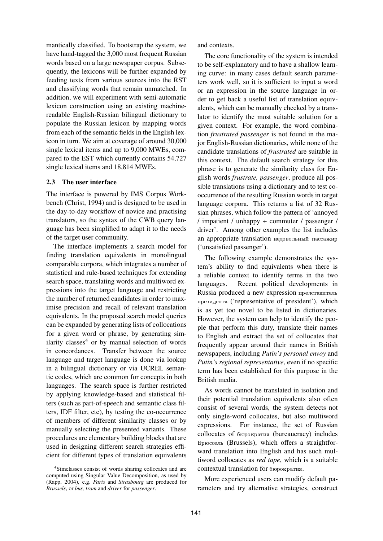mantically classified. To bootstrap the system, we have hand-tagged the 3,000 most frequent Russian words based on a large newspaper corpus. Subsequently, the lexicons will be further expanded by feeding texts from various sources into the RST and classifying words that remain unmatched. In addition, we will experiment with semi-automatic lexicon construction using an existing machinereadable English-Russian bilingual dictionary to populate the Russian lexicon by mapping words from each of the semantic fields in the English lexicon in turn. We aim at coverage of around 30,000 single lexical items and up to 9,000 MWEs, compared to the EST which currently contains 54,727 single lexical items and 18,814 MWEs.

# **2.3 The user interface**

The interface is powered by IMS Corpus Workbench (Christ, 1994) and is designed to be used in the day-to-day workflow of novice and practising translators, so the syntax of the CWB query language has been simplified to adapt it to the needs of the target user community.

The interface implements a search model for finding translation equivalents in monolingual comparable corpora, which integrates a number of statistical and rule-based techniques for extending search space, translating words and multiword expressions into the target language and restricting the number of returned candidates in order to maximise precision and recall of relevant translation equivalents. In the proposed search model queries can be expanded by generating lists of collocations for a given word or phrase, by generating similarity classes<sup>4</sup> or by manual selection of words in concordances. Transfer between the source language and target language is done via lookup in a bilingual dictionary or via UCREL semantic codes, which are common for concepts in both languages. The search space is further restricted by applying knowledge-based and statistical filters (such as part-of-speech and semantic class filters, IDF filter, etc), by testing the co-occurrence of members of different similarity classes or by manually selecting the presented variants. These procedures are elementary building blocks that are used in designing different search strategies efficient for different types of translation equivalents and contexts.

The core functionality of the system is intended to be self-explanatory and to have a shallow learning curve: in many cases default search parameters work well, so it is sufficient to input a word or an expression in the source language in order to get back a useful list of translation equivalents, which can be manually checked by a translator to identify the most suitable solution for a given context. For example, the word combination *frustrated passenger* is not found in the major English-Russian dictionaries, while none of the candidate translations of *frustrated* are suitable in this context. The default search strategy for this phrase is to generate the similarity class for English words *frustrate, passenger*, produce all possible translations using a dictionary and to test cooccurrence of the resulting Russian words in target language corpora. This returns a list of 32 Russian phrases, which follow the pattern of 'annoyed / impatient / unhappy + commuter / passenger / driver'. Among other examples the list includes an appropriate translation недовольный пассажир ('unsatisfied passenger').

The following example demonstrates the system's ability to find equivalents when there is a reliable context to identify terms in the two languages. Recent political developments in Russia produced a new expression представитель президента ('representative of president'), which is as yet too novel to be listed in dictionaries. However, the system can help to identify the people that perform this duty, translate their names to English and extract the set of collocates that frequently appear around their names in British newspapers, including *Putin's personal envoy* and *Putin's regional representative*, even if no specific term has been established for this purpose in the British media.

As words cannot be translated in isolation and their potential translation equivalents also often consist of several words, the system detects not only single-word collocates, but also multiword expressions. For instance, the set of Russian collocates of бюрократия (bureaucracy) includes Брюссель (Brussels), which offers a straightforward translation into English and has such multiword collocates as *red tape*, which is a suitable contextual translation for бюрократия.

More experienced users can modify default parameters and try alternative strategies, construct

<sup>4</sup> Simclasses consist of words sharing collocates and are computed using Singular Value Decomposition, as used by (Rapp, 2004), e.g. *Paris* and *Strasbourg* are produced for *Brussels*, or *bus, tram* and *driver* for *passenger*.